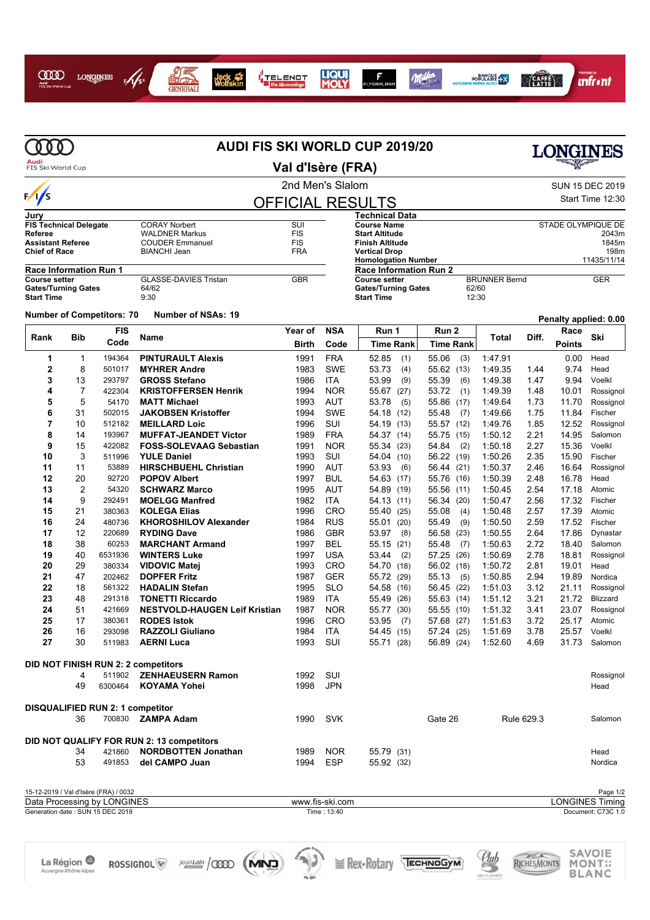

## I<mark>I</mark><br>I TELENOT<br>Die Abrmanlage







| Audi<br>FIS Ski World Cup                             |                |                                                                      |                                               |                                       |                          |                                                       |                              |                      |                 | LONGINES              |                                    |
|-------------------------------------------------------|----------------|----------------------------------------------------------------------|-----------------------------------------------|---------------------------------------|--------------------------|-------------------------------------------------------|------------------------------|----------------------|-----------------|-----------------------|------------------------------------|
|                                                       |                |                                                                      |                                               | Val d'Isère (FRA)<br>2nd Men's Slalom |                          |                                                       |                              |                      | SUN 15 DEC 2019 |                       |                                    |
| $\frac{1}{s}$                                         |                |                                                                      | <b>OFFICIAL RESULTS</b>                       |                                       |                          |                                                       |                              | Start Time 12:30     |                 |                       |                                    |
| Jurv                                                  |                |                                                                      |                                               |                                       |                          | <b>Technical Data</b>                                 |                              |                      |                 |                       |                                    |
| <b>FIS Technical Delegate</b>                         |                |                                                                      | <b>CORAY Norbert</b>                          | SUI                                   |                          | <b>Course Name</b>                                    |                              |                      |                 | STADE OLYMPIQUE DE    |                                    |
| Referee                                               |                |                                                                      | <b>WALDNER Markus</b>                         | <b>FIS</b><br><b>FIS</b>              |                          | <b>Start Altitude</b>                                 |                              |                      |                 |                       | 2043m                              |
| <b>Assistant Referee</b><br><b>Chief of Race</b>      |                |                                                                      | <b>COUDER Emmanuel</b><br><b>BIANCHI Jean</b> | <b>FRA</b>                            |                          | <b>Finish Altitude</b><br><b>Vertical Drop</b>        |                              |                      |                 |                       | 1845m<br>198m                      |
|                                                       |                |                                                                      |                                               |                                       |                          | <b>Homologation Number</b>                            |                              |                      |                 |                       | 11435/11/14                        |
| <b>Race Information Run 1</b><br><b>Course setter</b> |                |                                                                      | <b>GLASSE-DAVIES Tristan</b>                  | <b>GBR</b>                            |                          | <b>Race Information Run 2</b><br><b>Course setter</b> |                              | <b>BRUNNER Bernd</b> |                 |                       | <b>GER</b>                         |
| <b>Gates/Turning Gates</b><br><b>Start Time</b>       |                |                                                                      | 64/62<br>9:30                                 |                                       |                          | <b>Gates/Turning Gates</b><br><b>Start Time</b>       | 62/60<br>12:30               |                      |                 |                       |                                    |
|                                                       |                | <b>Number of Competitors: 70</b>                                     | <b>Number of NSAs: 19</b>                     |                                       |                          |                                                       |                              |                      |                 | Penalty applied: 0.00 |                                    |
|                                                       |                | <b>FIS</b>                                                           |                                               | Year of                               | <b>NSA</b>               | Run 1                                                 | Run <sub>2</sub>             |                      |                 | Race                  |                                    |
| Rank                                                  | <b>Bib</b>     | Code                                                                 | Name                                          | <b>Birth</b>                          | Code                     | <b>Time Rank</b>                                      | <b>Time Rank</b>             | Total                | Diff.           | <b>Points</b>         | Ski                                |
| 1                                                     | $\mathbf 1$    | 194364                                                               | <b>PINTURAULT Alexis</b>                      | 1991                                  | <b>FRA</b>               | 52.85<br>(1)                                          | 55.06<br>(3)                 | 1.47.91              |                 | 0.00                  | Head                               |
| $\mathbf 2$                                           | 8              | 501017                                                               | <b>MYHRER Andre</b>                           | 1983                                  | <b>SWE</b>               | 53.73<br>(4)                                          | 55.62 (13)                   | 1:49.35              | 1.44            | 9.74                  | Head                               |
| 3                                                     | 13             | 293797                                                               | <b>GROSS Stefano</b>                          | 1986                                  | <b>ITA</b>               | 53.99<br>(9)                                          | 55.39<br>(6)                 | 1:49.38              | 1.47            | 9.94                  | Voelkl                             |
| 4                                                     | $\overline{7}$ | 422304                                                               | <b>KRISTOFFERSEN Henrik</b>                   | 1994                                  | <b>NOR</b>               | (27)<br>55.67                                         | 53.72<br>(1)                 | 1:49.39              | 1.48            | 10.01                 | Rossignol                          |
| 5                                                     | 5              | 54170                                                                | <b>MATT Michael</b>                           | 1993                                  | <b>AUT</b>               | 53.78<br>(5)                                          | 55.86<br>(17)                | 1:49.64              | 1.73            | 11.70                 | Rossignol                          |
| 6                                                     | 31             | 502015                                                               | <b>JAKOBSEN Kristoffer</b>                    | 1994                                  | <b>SWE</b>               | 54.18<br>(12)                                         | 55.48<br>(7)                 | 1:49.66              | 1.75            | 11.84                 | Fischer                            |
| $\overline{7}$                                        | 10             | 512182                                                               | <b>MEILLARD Loic</b>                          | 1996                                  | SUI                      | 54.19<br>(13)                                         | 55.57 (12)                   | 1:49.76              | 1.85            | 12.52                 | Rossignol                          |
| 8                                                     | 14             | 193967                                                               | <b>MUFFAT-JEANDET Victor</b>                  | 1989                                  | <b>FRA</b>               | 54.37<br>(14)                                         | 55.75<br>(15)                | 1:50.12              | 2.21            | 14.95                 | Salomon                            |
| 9                                                     | 15             | 422082                                                               | <b>FOSS-SOLEVAAG Sebastian</b>                | 1991                                  | <b>NOR</b>               | 55.34<br>(23)                                         | 54.84<br>(2)                 | 1:50.18              | 2.27            | 15.36                 | Voelkl                             |
| 10                                                    | 3              | 511996                                                               | <b>YULE Daniel</b>                            | 1993                                  | SUI                      | 54.04<br>(10)                                         | 56.22 (19)                   | 1:50.26              | 2.35            | 15.90                 | Fischer                            |
| 11                                                    | 11             | 53889                                                                | <b>HIRSCHBUEHL Christian</b>                  | 1990                                  | AUT                      | 53.93<br>(6)                                          | 56.44<br>(21)                | 1:50.37              | 2.46            | 16.64                 | Rossignol                          |
| 12                                                    | 20             | 92720                                                                | <b>POPOV Albert</b>                           | 1997                                  | <b>BUL</b>               | 54.63 (17)                                            | 55.76<br>(16)                | 1:50.39              | 2.48            | 16.78                 | Head                               |
| 13                                                    | 2              | 54320                                                                | <b>SCHWARZ Marco</b>                          | 1995                                  | AUT                      | 54.89<br>(19)                                         | 55.56 (11)                   | 1:50.45              | 2.54            | 17.18                 | Atomic                             |
| 14<br>15                                              | 9<br>21        | 292491<br>380363                                                     | <b>MOELGG Manfred</b><br><b>KOLEGA Elias</b>  | 1982<br>1996                          | <b>ITA</b><br><b>CRO</b> | 54.13 (11)                                            | 56.34<br>(20)                | 1:50.47              | 2.56<br>2.57    | 17.32<br>17.39        | Fischer<br>Atomic                  |
| 16                                                    | 24             | 480736                                                               | <b>KHOROSHILOV Alexander</b>                  | 1984                                  | <b>RUS</b>               | 55.40<br>(25)<br>55.01<br>(20)                        | 55.08<br>(4)<br>(9)<br>55.49 | 1:50.48<br>1:50.50   | 2.59            | 17.52                 | Fischer                            |
| 17                                                    | 12             | 220689                                                               | <b>RYDING Dave</b>                            | 1986                                  | <b>GBR</b>               | 53.97<br>(8)                                          | 56.58<br>(23)                | 1:50.55              | 2.64            | 17.86                 | Dynastar                           |
| 18                                                    | 38             | 60253                                                                | <b>MARCHANT Armand</b>                        | 1997                                  | <b>BEL</b>               | 55.15<br>(21)                                         | 55.48<br>(7)                 | 1:50.63              | 2.72            | 18.40                 | Salomon                            |
| 19                                                    | 40             | 6531936                                                              | <b>WINTERS Luke</b>                           | 1997                                  | <b>USA</b>               | 53.44<br>(2)                                          | 57.25<br>(26)                | 1:50.69              | 2.78            | 18.81                 | Rossignol                          |
| 20                                                    | 29             | 380334                                                               | <b>VIDOVIC Matej</b>                          | 1993                                  | CRO                      | 54.70<br>(18)                                         | 56.02 (18)                   | 1:50.72              | 2.81            | 19.01                 | Head                               |
| 21                                                    | 47             | 202462                                                               | <b>DOPFER Fritz</b>                           | 1987                                  | <b>GER</b>               | 55.72<br>(29)                                         | 55.13<br>(5)                 | 1:50.85              | 2.94            | 19.89                 | Nordica                            |
| 22                                                    | 18             | 561322                                                               | <b>HADALIN Stefan</b>                         | 1995                                  | <b>SLO</b>               | 54.58<br>(16)                                         | 56.45<br>(22)                | 1:51.03              | 3.12            | 21.11                 | Rossignol                          |
| 23                                                    | 48             | 291318                                                               | <b>TONETTI Riccardo</b>                       | 1989                                  | <b>ITA</b>               | 55.49<br>(26)                                         | 55.63<br>(14)                | 1:51.12              | 3.21            | 21.72                 | <b>Blizzard</b>                    |
| 24                                                    | 51             | 421669                                                               | <b>NESTVOLD-HAUGEN Leif Kristian</b>          | 1987                                  | <b>NOR</b>               | 55.77 (30)                                            | 55.55 (10)                   | 1:51.32              | 3.41            | 23.07                 | Rossignol                          |
| 25                                                    | 17             | 380361                                                               | <b>RODES Istok</b>                            | 1996                                  | CRO                      | 53.95 (7)                                             | 57.68 (27)                   | 1.51.63              | 3.72            | 25.17                 | Atomic                             |
| 26                                                    | 16             | 293098                                                               | <b>RAZZOLI Giuliano</b>                       | 1984                                  | <b>ITA</b>               | 54.45 (15)                                            | 57.24 (25)                   | 1:51.69              | 3.78            | 25.57                 | Voelkl                             |
| 27                                                    | 30             | 511983                                                               | <b>AERNI Luca</b>                             | 1993                                  | SUI                      | 55.71 (28)                                            | 56.89 (24)                   | 1:52.60              | 4.69            | 31.73                 | Salomon                            |
|                                                       |                |                                                                      | DID NOT FINISH RUN 2: 2 competitors           |                                       |                          |                                                       |                              |                      |                 |                       |                                    |
|                                                       | 4              | 511902                                                               | <b>ZENHAEUSERN Ramon</b>                      | 1992                                  | SUI                      |                                                       |                              |                      |                 |                       | Rossignol                          |
|                                                       | 49             | 6300464                                                              | <b>KOYAMA Yohei</b>                           | 1998                                  | <b>JPN</b>               |                                                       |                              |                      |                 |                       | Head                               |
|                                                       |                | DISQUALIFIED RUN 2: 1 competitor                                     |                                               |                                       |                          |                                                       |                              |                      |                 |                       |                                    |
|                                                       | 36             |                                                                      | 700830 <b>ZAMPA Adam</b>                      | 1990                                  | SVK                      |                                                       | Gate 26                      |                      | Rule 629.3      |                       | Salomon                            |
|                                                       |                |                                                                      | DID NOT QUALIFY FOR RUN 2: 13 competitors     |                                       |                          |                                                       |                              |                      |                 |                       |                                    |
|                                                       | 34             | 421860                                                               | <b>NORDBOTTEN Jonathan</b>                    | 1989                                  | <b>NOR</b>               | 55.79 (31)                                            |                              |                      |                 |                       | Head                               |
|                                                       | 53             | 491853                                                               | del CAMPO Juan                                | 1994                                  | <b>ESP</b>               | 55.92 (32)                                            |                              |                      |                 |                       | Nordica                            |
|                                                       |                |                                                                      |                                               |                                       |                          |                                                       |                              |                      |                 |                       |                                    |
|                                                       |                | 15-12-2019 / Val d'Isère (FRA) / 0032<br>Data Processing by LONGINES |                                               |                                       | www.fis-ski.com          |                                                       |                              |                      |                 |                       | Page 1/2<br><b>LONGINES Timing</b> |
|                                                       |                | Generation date: SUN 15 DEC 2019                                     |                                               |                                       | Time: 13:40              |                                                       |                              |                      |                 |                       | Document: C73C 1.0                 |

SAVOIE<br>MONT::<br>BLANC

Club

RICHESMONTS





 $Time: 13:40$ 

Rex-Rotary TECHNOGYM